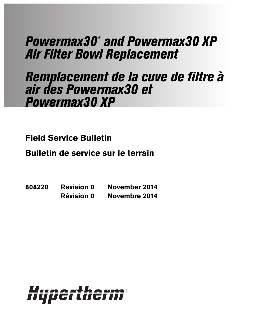# Powermax30 ® and Powermax30 XP Air Filter Bowl Replacement

# Remplacement de la cuve de filtre à air des Powermax30 et Powermax30 XP

**Field Service Bulletin**

**Bulletin de service sur le terrain**

**808220 Revision 0 November 2014 Révision 0 Novembre 2014**

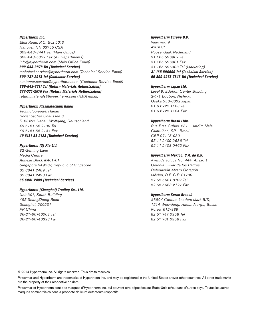Hypertherm Inc. Etna Road, P.O. Box 5010 Hanover, NH 03755 USA 603-643-3441 Tel (Main Office) 603-643-5352 Fax (All Departments) info@hypertherm.com (Main Office Email) 800-643-9878 Tel (Technical Service) technical.service@hypertherm.com (Technical Service Email)

800-737-2978 Tel (Customer Service) customer.service@hypertherm.com (Customer Service Email) 866-643-7711 Tel (Return Materials Authorization) 877-371-2876 Fax (Return Materials Authorization) return.materials@hypertherm.com (RMA email)

#### Hypertherm Plasmatechnik GmbH

Technologiepark Hanau Rodenbacher Chaussee 6 D-63457 Hanau-Wolfgang, Deutschland 49 6181 58 2100 Tel 49 6181 58 2134 Fax 49 6181 58 2123 (Technical Service)

#### Hypertherm (S) Pte Ltd.

82 Genting Lane Media Centre Annexe Block #A01-01 Singapore 349567, Republic of Singapore 65 6841 2489 Tel 65 6841 2490 Fax 65 6841 2489 (Technical Service)

#### Hypertherm (Shanghai) Trading Co., Ltd.

Unit 301, South Building 495 ShangZhong Road Shanghai, 200231 PR China 86-21-60740003 Tel 86-21-60740393 Fax

#### Hypertherm Europe B.V.

Vaartveld 9 4704 SE Roosendaal, Nederland 31 165 596907 Tel 31 165 596901 Fax 31 165 596908 Tel (Marketing) 31 165 596900 Tel (Technical Service) 00 800 4973 7843 Tel (Technical Service)

#### Hypertherm Japan Ltd.

Level 9, Edobori Center Building 2-1-1 Edobori, Nishi-ku Osaka 550-0002 Japan 81 6 6225 1183 Tel 81 6 6225 1184 Fax

#### Hypertherm Brasil Ltda.

Rua Bras Cubas, 231 – Jardim Maia Guarulhos, SP - Brasil CEP 07115-030 55 11 2409 2636 Tel 55 11 2408 0462 Fax

#### Hypertherm México, S.A. de C.V.

Avenida Toluca No. 444, Anexo 1, Colonia Olivar de los Padres Delegación Álvaro Obregón México, D.F. C.P. 01780 52 55 5681 8109 Tel 52 55 5683 2127 Fax

#### Hypertherm Korea Branch

#3904 Centum Leaders Mark B/D, 1514 Woo-dong, Haeundae-gu, Busan Korea, 612-889 82 51 747 0358 Tel 82 51 701 0358 Fax

© 2014 Hypertherm Inc. All rights reserved. Tous droits réservés.

Powermax and Hypertherm are trademarks of Hypertherm Inc. and may be registered in the United States and/or other countries. All other trademarks are the property of their respective holders.

Powermax et Hypertherm sont des marques d'Hypertherm Inc. qui peuvent être déposées aux États-Unis et/ou dans d'autres pays. Toutes les autres marques commerciales sont la propriété de leurs détenteurs respectifs.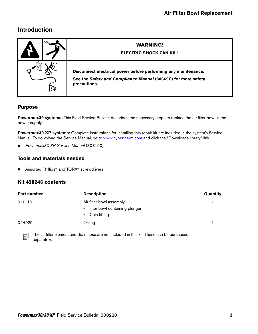# **Introduction**

|              | <b>WARNING!</b><br><b>ELECTRIC SHOCK CAN KILL</b>                                                                                               |
|--------------|-------------------------------------------------------------------------------------------------------------------------------------------------|
| $\mathbf{r}$ | Disconnect electrical power before performing any maintenance.<br>See the Safety and Compliance Manual (80669C) for more safety<br>precautions. |

### **Purpose**

**Powermax30 systems:** This Field Service Bulletin describes the necessary steps to replace the air filter bowl in the power supply.

**Powermax30 XP systems:** [Complete instructions for installing this repair kit are included in the system's Service](https://www.hypertherm.com)  [Manual. To download the Service Manual, go to](https://www.hypertherm.com) www.hypertherm.com and click the "Downloads library" link.

■ Powermax30 XP Service Manual (808150)

#### **Tools and materials needed**

■ Assorted Phillips<sup>®</sup> and TORX<sup>®</sup> screwdrivers

#### **Kit 428246 contents**

| Part number | <b>Description</b>               | Quantity |
|-------------|----------------------------------|----------|
| 011119      | Air filter bowl assembly:        |          |
|             | • Filter bowl containing plunger |          |
|             | • Drain fitting                  |          |
| 044025      | $O$ -ring                        |          |
|             |                                  |          |

The air filter element and drain hose are not included in this kit. These can be purchased separately.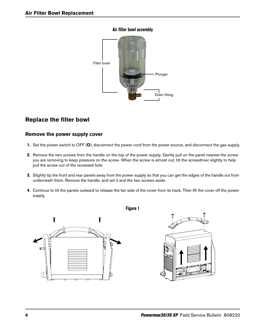

#### **Air filter bowl assembly**

# **Replace the filter bowl**

### **Remove the power supply cover**

- 1. Set the power switch to OFF (**O**), disconnect the power cord from the power source, and disconnect the gas supply.
- 2. Remove the two screws from the handle on the top of the power supply. Gently pull on the panel nearest the screw you are removing to keep pressure on the screw. When the screw is almost out, tilt the screwdriver slightly to help pull the screw out of the recessed hole.
- 3. Slightly tip the front and rear panels away from the power supply so that you can get the edges of the handle out from underneath them. Remove the handle, and set it and the two screws aside.
- 4. Continue to tilt the panels outward to release the fan side of the cover from its track. Then lift the cover off the power supply.



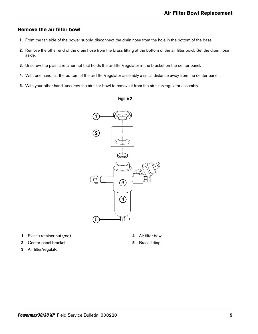#### **Remove the air filter bowl**

- 1. From the fan side of the power supply, disconnect the drain hose from the hole in the bottom of the base.
- 2. Remove the other end of the drain hose from the brass fitting at the bottom of the air filter bowl. Set the drain hose aside.
- 3. Unscrew the plastic retainer nut that holds the air filter/regulator in the bracket on the center panel.
- 4. With one hand, tilt the bottom of the air filter/regulator assembly a small distance away from the center panel.
- 5. With your other hand, unscrew the air filter bowl to remove it from the air filter/regulator assembly.

#### **Figure 2**



- **1** Plastic retainer nut (red)
- **2** Center panel bracket
- **3** Air filter/regulator
- **4** Air filter bowl
- **5** Brass fitting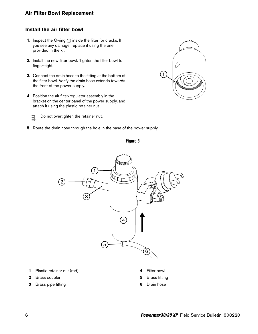## **Install the air filter bowl**

- 1. Inspect the O-ring  $\eta$  inside the filter for cracks. If you see any damage, replace it using the one provided in the kit.
- 2. Install the new filter bowl. Tighten the filter bowl to finger-tight.
- 3. Connect the drain hose to the fitting at the bottom of the filter bowl. Verify the drain hose extends towards the front of the power supply.
- 4. Position the air filter/regulator assembly in the bracket on the center panel of the power supply, and attach it using the plastic retainer nut.



Do not overtighten the retainer nut.

5. Route the drain hose through the hole in the base of the power supply.





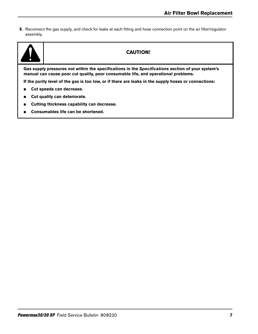6. Reconnect the gas supply, and check for leaks at each fitting and hose connection point on the air filter/regulator assembly.



## **CAUTION!**

**Gas supply pressures not within the specifications in the Specifications section of your system's manual can cause poor cut quality, poor consumable life, and operational problems.**

**If the purity level of the gas is too low, or if there are leaks in the supply hoses or connections:**

- **Cut speeds can decrease.**
- **Cut quality can deteriorate.**
- **Cutting thickness capability can decrease.**
- Consumables life can be shortened.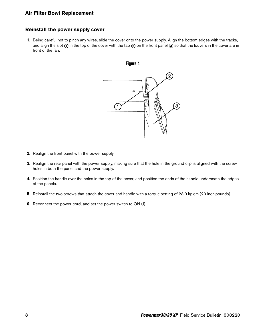## **Reinstall the power supply cover**

1. Being careful not to pinch any wires, slide the cover onto the power supply. Align the bottom edges with the tracks, and align the slot  $\eta$  in the top of the cover with the tab  $\phi$  on the front panel  $\phi$  so that the louvers in the cover are in front of the fan.



- 2. Realign the front panel with the power supply.
- 3. Realign the rear panel with the power supply, making sure that the hole in the ground clip is aligned with the screw holes in both the panel and the power supply.
- 4. Position the handle over the holes in the top of the cover, and position the ends of the handle underneath the edges of the panels.
- 5. Reinstall the two screws that attach the cover and handle with a torque setting of 23.0 kg∙cm (20 inch∙pounds).
- 6. Reconnect the power cord, and set the power switch to ON (**I**).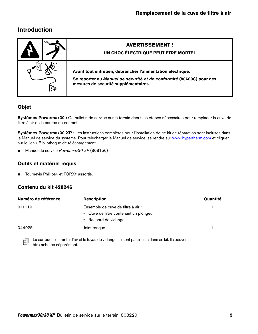# **Introduction**

| <b>AVERTISSEMENT!</b><br>UN CHOC ÉLECTRIQUE PEUT ÊTRE MORTEL                                                                                                                |
|-----------------------------------------------------------------------------------------------------------------------------------------------------------------------------|
| Avant tout entretien, débrancher l'alimentation électrique.<br>Se reporter au Manuel de sécurité et de conformité (80669C) pour des<br>mesures de sécurité supplémentaires. |

## **Objet**

**Systèmes Powermax30 :** Ce bulletin de service sur le terrain décrit les étapes nécessaires pour remplacer la cuve de filtre à air de la source de courant.

**Systèmes Powermax30 XP :** [Les instructions complètes pour l'installation de ce kit de réparation sont incluses dans](https://www.hypertherm.com)  [le Manuel de service du système. Pour télécharger le Manuel de service, se rendre sur w](https://www.hypertherm.com)ww.hypertherm.com et cliquer sur le lien « Bibliothèque de téléchargement ».

■ Manuel de service Powermax30 XP (808150)

## **Outils et matériel requis**

■ Tournevis Phillips<sup>®</sup> et TORX<sup>®</sup> assortis.

### **Contenu du kit 428246**

| Numéro de référence | <b>Description</b>                     | Quantité |
|---------------------|----------------------------------------|----------|
| 011119              | Ensemble de cuve de filtre à air :     |          |
|                     | • Cuve de filtre contenant un plongeur |          |
|                     | • Raccord de vidange                   |          |
| 044025              | Joint torique                          |          |
|                     |                                        |          |

Eu La cartouche filtrante d'air et le tuyau de vidange ne sont pas inclus dans ce kit. Ils peuvent être achetés séparément.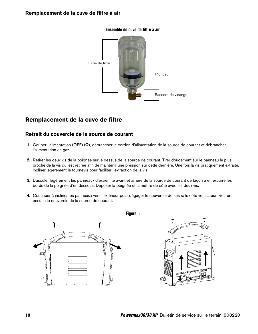#### **Ensemble de cuve de filtre à air**



## **Remplacement de la cuve de filtre**

#### **Retrait du couvercle de la source de courant**

- 1. Couper l'alimentation (OFF) (**O**), débrancher le cordon d'alimentation de la source de courant et débrancher l'alimentation en gaz.
- 2. Retirer les deux vis de la poignée sur le dessus de la source de courant. Tirer doucement sur le panneau le plus proche de la vis qui est retirée afin de maintenir une pression sur cette dernière. Une fois la vis pratiquement extraite, incliner légèrement le tournevis pour faciliter l'extraction de la vis.
- 3. Basculer légèrement les panneaux d'extrémité avant et arrière de la source de courant de façon à en extraire les bords de la poignée d'en dessous. Déposer la poignée et la mettre de côté avec les deux vis.
- 4. Continuer à incliner les panneaux vers l'extérieur pour dégager le couvercle de ses rails côté ventilateur. Retirer ensuite le couvercle de la source de courant.

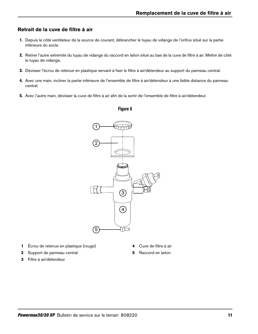### **Retrait de la cuve de filtre à air**

- 1. Depuis le côté ventilateur de la source de courant, débrancher le tuyau de vidange de l'orifice situé sur la partie inférieure du socle.
- 2. Retirer l'autre extrémité du tuyau de vidange du raccord en laiton situé au bas de la cuve de filtre à air. Mettre de côté le tuyau de vidange.
- 3. Dévisser l'écrou de retenue en plastique servant à fixer le filtre à air/détendeur au support du panneau central.
- 4. Avec une main, incliner la partie inférieure de l'ensemble de filtre à air/détendeur à une faible distance du panneau central.
- 5. Avec l'autre main, dévisser la cuve de filtre à air afin de la sortir de l'ensemble de filtre à air/détendeur.

#### **Figure 6**



- **1** Écrou de retenue en plastique (rouge)
- **4** Cuve de filtre à air

- **2** Support de panneau central
- **3** Filtre à air/détendeur

**5** Raccord en laiton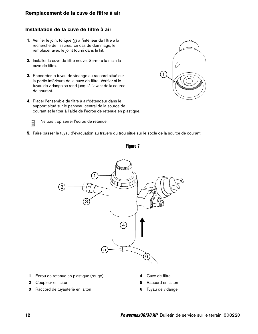## **Installation de la cuve de filtre à air**

- 1. Vérifier le joint torique 1 à l'intérieur du filtre à la recherche de fissures. En cas de dommage, le remplacer avec le joint fourni dans le kit.
- 2. Installer la cuve de filtre neuve. Serrer à la main la cuve de filtre.
- 3. Raccorder le tuyau de vidange au raccord situé sur la partie inférieure de la cuve de filtre. Vérifier si le tuyau de vidange se rend jusqu'à l'avant de la source de courant.
- 4. Placer l'ensemble de filtre à air/détendeur dans le support situé sur le panneau central de la source de courant et le fixer à l'aide de l'écrou de retenue en plastique.



Ne pas trop serrer l'écrou de retenue.

5. Faire passer le tuyau d'évacuation au travers du trou situé sur le socle de la source de courant.



- **1** Écrou de retenue en plastique (rouge)
- **2** Coupleur en laiton
- **3** Raccord de tuyauterie en laiton
- **4** Cuve de filtre
- **5** Raccord en laiton
- **6** Tuyau de vidange



## **Figure 7**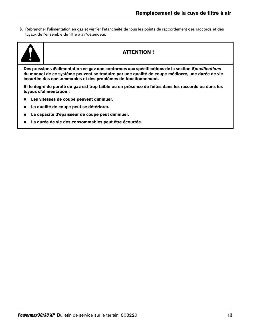6. Rebrancher l'alimentation en gaz et vérifier l'étanchéité de tous les points de raccordement des raccords et des tuyaux de l'ensemble de filtre à air/détendeur.



## **ATTENTION !**

**Des pressions d'alimentation en gaz non conformes aux spécifications de la section Specifications du manuel de ce système peuvent se traduire par une qualité de coupe médiocre, une durée de vie écourtée des consommables et des problèmes de fonctionnement.**

**Si le degré de pureté du gaz est trop faible ou en présence de fuites dans les raccords ou dans les tuyaux d'alimentation :**

- **Les vitesses de coupe peuvent diminuer.**
- **La qualité de coupe peut se détériorer.**
- **La capacité d'épaisseur de coupe peut diminuer.**
- **La durée de vie des consommables peut être écourtée.**